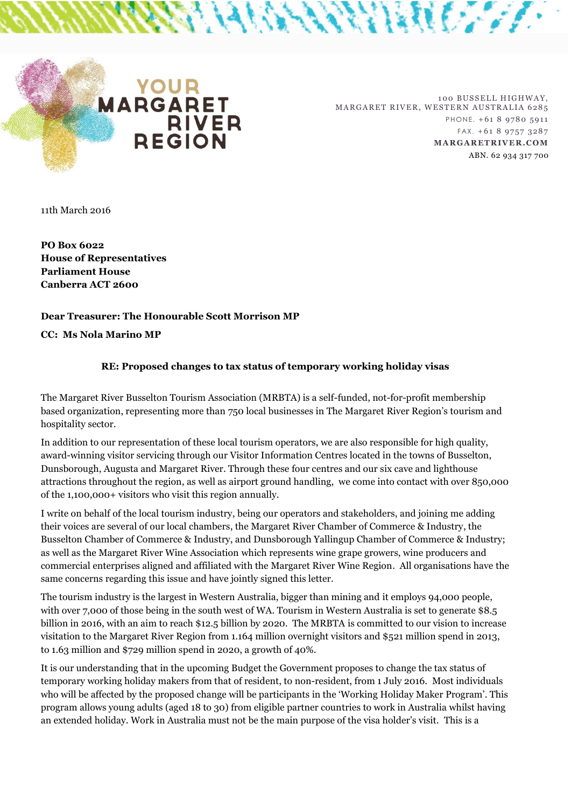

100 BUSSELL HIGHWAY, MARGARET RIVER, WESTERN AUSTRALIA 6285 PHONE. +61 8 9780 5911  $FAX. + 61897573287$ **MA R GA R ET R IV E R .COM**  ABN. 62 934 317 700

ANANA ANNE INTERESSE

11th March 2016

**PO Box 6022 House of Representatives Parliament House Canberra ACT 2600**

## **Dear Treasurer: The Honourable Scott Morrison MP**

**CC: Ms Nola Marino MP**

## **RE: Proposed changes to tax status of temporary working holiday visas**

The Margaret River Busselton Tourism Association (MRBTA) is a self-funded, not-for-profit membership based organization, representing more than 750 local businesses in The Margaret River Region's tourism and hospitality sector.

In addition to our representation of these local tourism operators, we are also responsible for high quality, award-winning visitor servicing through our Visitor Information Centres located in the towns of Busselton, Dunsborough, Augusta and Margaret River. Through these four centres and our six cave and lighthouse attractions throughout the region, as well as airport ground handling, we come into contact with over 850,000 of the 1,100,000+ visitors who visit this region annually.

I write on behalf of the local tourism industry, being our operators and stakeholders, and joining me adding their voices are several of our local chambers, the Margaret River Chamber of Commerce & Industry, the Busselton Chamber of Commerce & Industry, and Dunsborough Yallingup Chamber of Commerce & Industry; as well as the Margaret River Wine Association which represents wine grape growers, wine producers and commercial enterprises aligned and affiliated with the Margaret River Wine Region. All organisations have the same concerns regarding this issue and have jointly signed this letter.

The tourism industry is the largest in Western Australia, bigger than mining and it employs 94,000 people, with over 7,000 of those being in the south west of WA. Tourism in Western Australia is set to generate \$8.5 billion in 2016, with an aim to reach \$12.5 billion by 2020. The MRBTA is committed to our vision to increase visitation to the Margaret River Region from 1.164 million overnight visitors and \$521 million spend in 2013, to 1.63 million and \$729 million spend in 2020, a growth of 40%.

It is our understanding that in the upcoming Budget the Government proposes to change the tax status of temporary working holiday makers from that of resident, to non-resident, from 1 July 2016. Most individuals who will be affected by the proposed change will be participants in the 'Working Holiday Maker Program'. This program allows young adults (aged 18 to 30) from eligible partner countries to work in Australia whilst having an extended holiday. Work in Australia must not be the main purpose of the visa holder's visit. This is a